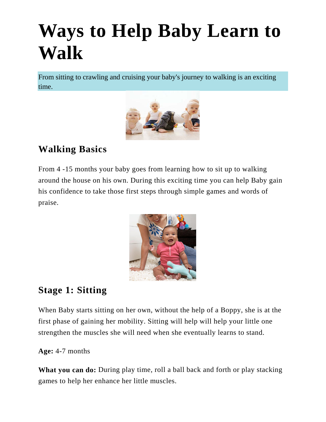# **Ways to Help Baby Learn to Walk**

From sitting to crawling and cruising your baby's journey to walking is an exciting time.



# **Walking Basics**

From 4 -15 months your baby goes from learning how to sit up to walking around the house on his own. During this exciting time you can help Baby gain his confidence to take those first steps through simple games and words of praise.



# **Stage 1: Sitting**

When Baby starts sitting on her own, without the help of a Boppy, she is at the first phase of gaining her mobility. Sitting will help will help your little one strengthen the muscles she will need when she eventually learns to stand.

**Age:** 4-7 months

**What you can do:** During play time, roll a ball back and forth or play stacking games to help her enhance her little muscles.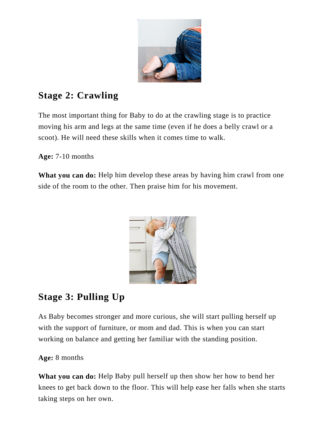

# **Stage 2: Crawling**

The most important thing for Baby to do at the [crawling](https://www.parents.com/baby/development/crawling/) stage is to practice moving his arm and legs at the same time (even if he does a belly crawl or a scoot). He will need these skills when it comes time to walk.

**Age:** 7-10 months

**What you can do:** Help him develop these areas by having him crawl from one side of the room to the other. Then praise him for his movement.



# **Stage 3: Pulling Up**

As Baby becomes stronger and more curious, she will start pulling herself up with the support of furniture, or mom and dad. This is when you can start working on balance and getting her familiar with the standing position.

#### **Age:** 8 months

**What you can do:** Help Baby pull herself up then show her how to bend her knees to get back down to the floor. This will help ease her falls when she starts taking steps on her own.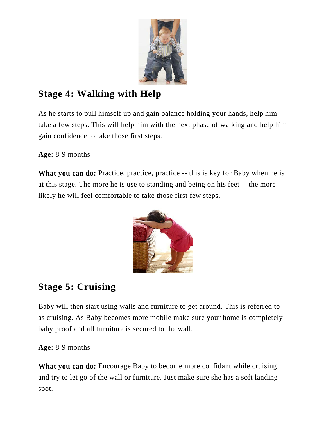

# **Stage 4: Walking with Help**

As he starts to pull himself up and gain balance holding your hands, help him take a few steps. This will help him with the next phase of [walking](https://www.parents.com/baby/development/walking/) and help him gain confidence to take those first steps.

#### **Age:** 8-9 months

**What you can do:** Practice, practice, practice -- this is key for Baby when he is at this stage. The more he is use to standing and being on his feet -- the more likely he will feel comfortable to take those first few steps.



# **Stage 5: Cruising**

Baby will then start using walls and furniture to get around. This is referred to as cruising. As Baby becomes more mobile make sure your home is completely baby proof and all furniture is secured to the wall.

#### **Age:** 8-9 months

**What you can do:** Encourage Baby to become more confidant while cruising and try to let go of the wall or furniture. Just make sure she has a soft landing spot.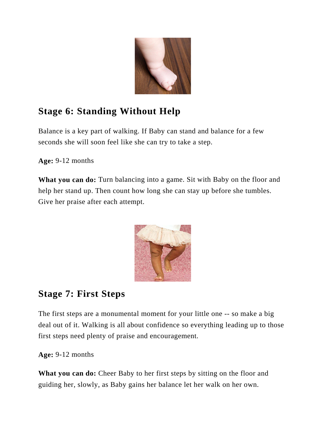

# **Stage 6: Standing Without Help**

Balance is a key part of walking. If Baby can stand and balance for a few seconds she will soon feel like she can try to take a step.

**Age:** 9-12 months

**What you can do:** Turn balancing into a game. Sit with Baby on the floor and help her stand up. Then count how long she can stay up before she tumbles. Give her praise after each attempt.



# **Stage 7: First Steps**

The first steps are a monumental moment for your little one -- so make a big deal out of it. [Walking](https://www.parents.com/baby/development/walking/) is all about confidence so everything leading up to those first steps need plenty of praise and encouragement.

**Age:** 9-12 months

**What you can do:** Cheer Baby to her first steps by sitting on the floor and guiding her, slowly, as Baby gains her balance let her walk on her own.